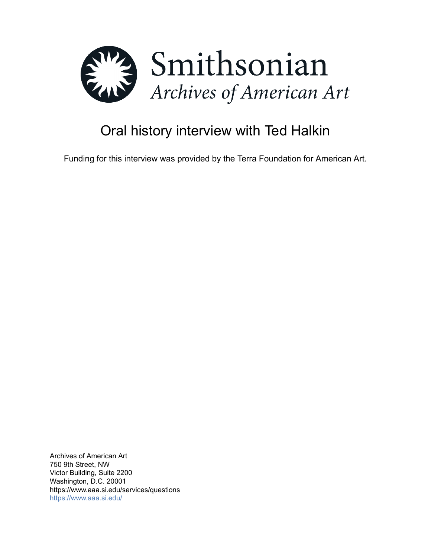

# Oral history interview with Ted Halkin

Funding for this interview was provided by the Terra Foundation for American Art.

Archives of American Art 750 9th Street, NW Victor Building, Suite 2200 Washington, D.C. 20001 https://www.aaa.si.edu/services/questions <https://www.aaa.si.edu/>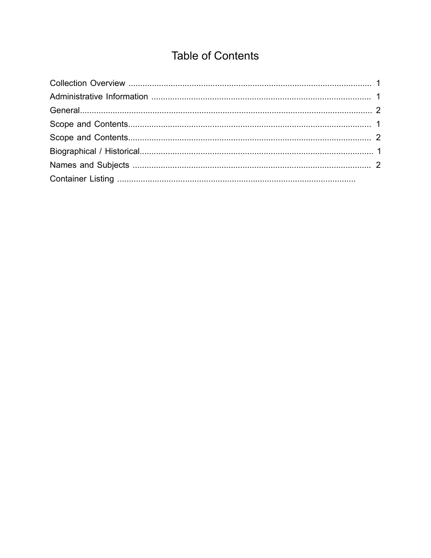## **Table of Contents**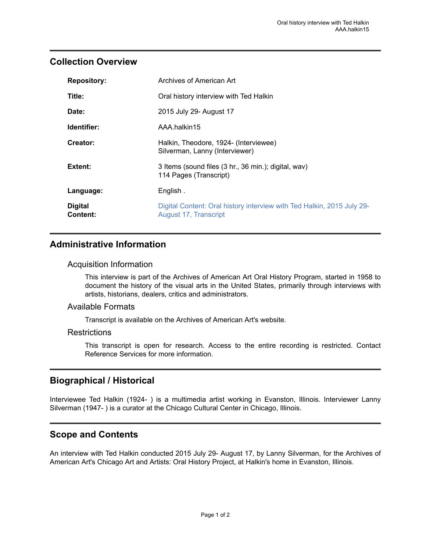## <span id="page-2-0"></span>**Collection Overview**

| <b>Repository:</b>         | Archives of American Art                                                                        |
|----------------------------|-------------------------------------------------------------------------------------------------|
| Title:                     | Oral history interview with Ted Halkin                                                          |
| Date:                      | 2015 July 29- August 17                                                                         |
| Identifier:                | AAA.halkin15                                                                                    |
| Creator:                   | Halkin, Theodore, 1924- (Interviewee)<br>Silverman, Lanny (Interviewer)                         |
| Extent:                    | 3 Items (sound files (3 hr., 36 min.); digital, wav)<br>114 Pages (Transcript)                  |
| Language:                  | English.                                                                                        |
| <b>Digital</b><br>Content: | Digital Content: Oral history interview with Ted Halkin, 2015 July 29-<br>August 17, Transcript |

## <span id="page-2-1"></span>**Administrative Information**

#### Acquisition Information

This interview is part of the Archives of American Art Oral History Program, started in 1958 to document the history of the visual arts in the United States, primarily through interviews with artists, historians, dealers, critics and administrators.

#### Available Formats

Transcript is available on the Archives of American Art's website.

#### **Restrictions**

This transcript is open for research. Access to the entire recording is restricted. Contact Reference Services for more information.

## <span id="page-2-3"></span>**Biographical / Historical**

Interviewee Ted Halkin (1924- ) is a multimedia artist working in Evanston, Illinois. Interviewer Lanny Silverman (1947- ) is a curator at the Chicago Cultural Center in Chicago, Illinois.

## <span id="page-2-2"></span>**Scope and Contents**

An interview with Ted Halkin conducted 2015 July 29- August 17, by Lanny Silverman, for the Archives of American Art's Chicago Art and Artists: Oral History Project, at Halkin's home in Evanston, Illinois.